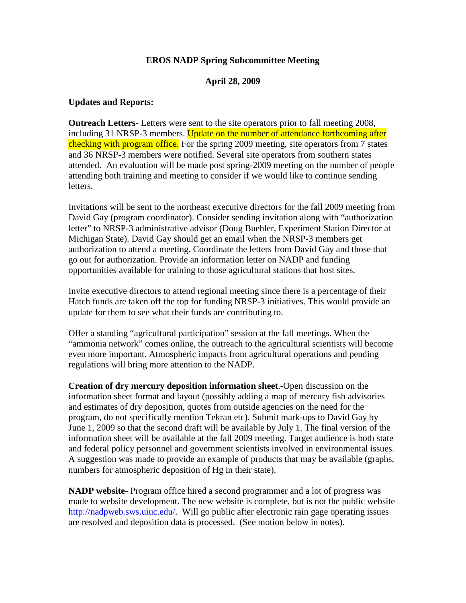## **EROS NADP Spring Subcommittee Meeting**

## **April 28, 2009**

### **Updates and Reports:**

**Outreach Letters-** Letters were sent to the site operators prior to fall meeting 2008, including 31 NRSP-3 members. Update on the number of attendance forthcoming after checking with program office. For the spring 2009 meeting, site operators from 7 states and 36 NRSP-3 members were notified. Several site operators from southern states attended. An evaluation will be made post spring-2009 meeting on the number of people attending both training and meeting to consider if we would like to continue sending letters.

Invitations will be sent to the northeast executive directors for the fall 2009 meeting from David Gay (program coordinator). Consider sending invitation along with "authorization letter" to NRSP-3 administrative advisor (Doug Buehler, Experiment Station Director at Michigan State). David Gay should get an email when the NRSP-3 members get authorization to attend a meeting. Coordinate the letters from David Gay and those that go out for authorization. Provide an information letter on NADP and funding opportunities available for training to those agricultural stations that host sites.

Invite executive directors to attend regional meeting since there is a percentage of their Hatch funds are taken off the top for funding NRSP-3 initiatives. This would provide an update for them to see what their funds are contributing to.

Offer a standing "agricultural participation" session at the fall meetings. When the "ammonia network" comes online, the outreach to the agricultural scientists will become even more important. Atmospheric impacts from agricultural operations and pending regulations will bring more attention to the NADP.

**Creation of dry mercury deposition information sheet**.-Open discussion on the information sheet format and layout (possibly adding a map of mercury fish advisories and estimates of dry deposition, quotes from outside agencies on the need for the program, do not specifically mention Tekran etc). Submit mark-ups to David Gay by June 1, 2009 so that the second draft will be available by July 1. The final version of the information sheet will be available at the fall 2009 meeting. Target audience is both state and federal policy personnel and government scientists involved in environmental issues. A suggestion was made to provide an example of products that may be available (graphs, numbers for atmospheric deposition of Hg in their state).

**NADP website-** Program office hired a second programmer and a lot of progress was made to website development. The new website is complete, but is not the public website [http://nadpweb.sws.uiuc.edu/.](http://nadpweb.sws.uiuc.edu/) Will go public after electronic rain gage operating issues are resolved and deposition data is processed. (See motion below in notes).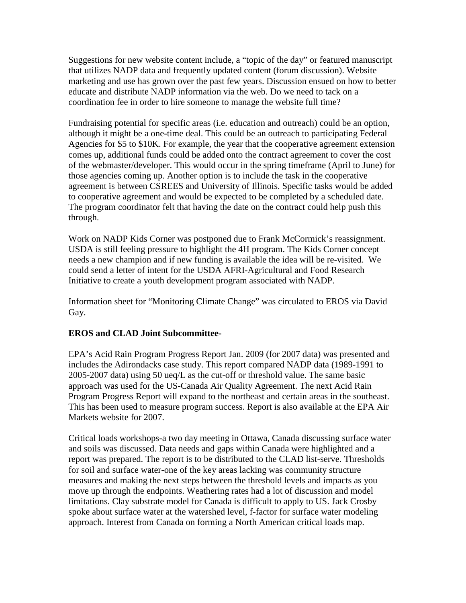Suggestions for new website content include, a "topic of the day" or featured manuscript that utilizes NADP data and frequently updated content (forum discussion). Website marketing and use has grown over the past few years. Discussion ensued on how to better educate and distribute NADP information via the web. Do we need to tack on a coordination fee in order to hire someone to manage the website full time?

Fundraising potential for specific areas (i.e. education and outreach) could be an option, although it might be a one-time deal. This could be an outreach to participating Federal Agencies for \$5 to \$10K. For example, the year that the cooperative agreement extension comes up, additional funds could be added onto the contract agreement to cover the cost of the webmaster/developer. This would occur in the spring timeframe (April to June) for those agencies coming up. Another option is to include the task in the cooperative agreement is between CSREES and University of Illinois. Specific tasks would be added to cooperative agreement and would be expected to be completed by a scheduled date. The program coordinator felt that having the date on the contract could help push this through.

Work on NADP Kids Corner was postponed due to Frank McCormick's reassignment. USDA is still feeling pressure to highlight the 4H program. The Kids Corner concept needs a new champion and if new funding is available the idea will be re-visited. We could send a letter of intent for the USDA AFRI-Agricultural and Food Research Initiative to create a youth development program associated with NADP.

Information sheet for "Monitoring Climate Change" was circulated to EROS via David Gay.

# **EROS and CLAD Joint Subcommittee-**

EPA's Acid Rain Program Progress Report Jan. 2009 (for 2007 data) was presented and includes the Adirondacks case study. This report compared NADP data (1989-1991 to 2005-2007 data) using 50 ueq/L as the cut-off or threshold value. The same basic approach was used for the US-Canada Air Quality Agreement. The next Acid Rain Program Progress Report will expand to the northeast and certain areas in the southeast. This has been used to measure program success. Report is also available at the EPA Air Markets website for 2007.

Critical loads workshops-a two day meeting in Ottawa, Canada discussing surface water and soils was discussed. Data needs and gaps within Canada were highlighted and a report was prepared. The report is to be distributed to the CLAD list-serve. Thresholds for soil and surface water-one of the key areas lacking was community structure measures and making the next steps between the threshold levels and impacts as you move up through the endpoints. Weathering rates had a lot of discussion and model limitations. Clay substrate model for Canada is difficult to apply to US. Jack Crosby spoke about surface water at the watershed level, f-factor for surface water modeling approach. Interest from Canada on forming a North American critical loads map.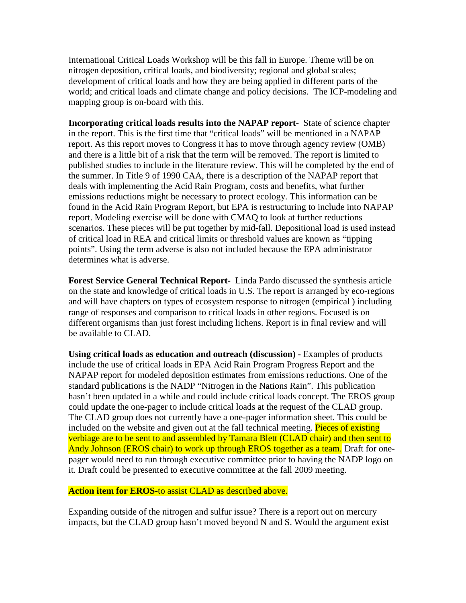International Critical Loads Workshop will be this fall in Europe. Theme will be on nitrogen deposition, critical loads, and biodiversity; regional and global scales; development of critical loads and how they are being applied in different parts of the world; and critical loads and climate change and policy decisions. The ICP-modeling and mapping group is on-board with this.

**Incorporating critical loads results into the NAPAP report-** State of science chapter in the report. This is the first time that "critical loads" will be mentioned in a NAPAP report. As this report moves to Congress it has to move through agency review (OMB) and there is a little bit of a risk that the term will be removed. The report is limited to published studies to include in the literature review. This will be completed by the end of the summer. In Title 9 of 1990 CAA, there is a description of the NAPAP report that deals with implementing the Acid Rain Program, costs and benefits, what further emissions reductions might be necessary to protect ecology. This information can be found in the Acid Rain Program Report, but EPA is restructuring to include into NAPAP report. Modeling exercise will be done with CMAQ to look at further reductions scenarios. These pieces will be put together by mid-fall. Depositional load is used instead of critical load in REA and critical limits or threshold values are known as "tipping points". Using the term adverse is also not included because the EPA administrator determines what is adverse.

**Forest Service General Technical Report-** Linda Pardo discussed the synthesis article on the state and knowledge of critical loads in U.S. The report is arranged by eco-regions and will have chapters on types of ecosystem response to nitrogen (empirical ) including range of responses and comparison to critical loads in other regions. Focused is on different organisms than just forest including lichens. Report is in final review and will be available to CLAD.

**Using critical loads as education and outreach (discussion) -** Examples of products include the use of critical loads in EPA Acid Rain Program Progress Report and the NAPAP report for modeled deposition estimates from emissions reductions. One of the standard publications is the NADP "Nitrogen in the Nations Rain". This publication hasn't been updated in a while and could include critical loads concept. The EROS group could update the one-pager to include critical loads at the request of the CLAD group. The CLAD group does not currently have a one-pager information sheet. This could be included on the website and given out at the fall technical meeting. Pieces of existing verbiage are to be sent to and assembled by Tamara Blett (CLAD chair) and then sent to Andy Johnson (EROS chair) to work up through EROS together as a team. Draft for onepager would need to run through executive committee prior to having the NADP logo on it. Draft could be presented to executive committee at the fall 2009 meeting.

### **Action item for EROS**-to assist CLAD as described above.

Expanding outside of the nitrogen and sulfur issue? There is a report out on mercury impacts, but the CLAD group hasn't moved beyond N and S. Would the argument exist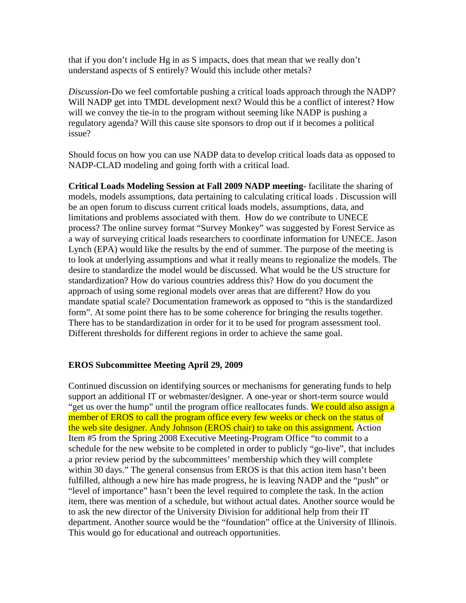that if you don't include Hg in as S impacts, does that mean that we really don't understand aspects of S entirely? Would this include other metals?

*Discussion*-Do we feel comfortable pushing a critical loads approach through the NADP? Will NADP get into TMDL development next? Would this be a conflict of interest? How will we convey the tie-in to the program without seeming like NADP is pushing a regulatory agenda? Will this cause site sponsors to drop out if it becomes a political issue?

Should focus on how you can use NADP data to develop critical loads data as opposed to NADP-CLAD modeling and going forth with a critical load.

**Critical Loads Modeling Session at Fall 2009 NADP meeting-** facilitate the sharing of models, models assumptions, data pertaining to calculating critical loads . Discussion will be an open forum to discuss current critical loads models, assumptions, data, and limitations and problems associated with them. How do we contribute to UNECE process? The online survey format "Survey Monkey" was suggested by Forest Service as a way of surveying critical loads researchers to coordinate information for UNECE. Jason Lynch (EPA) would like the results by the end of summer. The purpose of the meeting is to look at underlying assumptions and what it really means to regionalize the models. The desire to standardize the model would be discussed. What would be the US structure for standardization? How do various countries address this? How do you document the approach of using some regional models over areas that are different? How do you mandate spatial scale? Documentation framework as opposed to "this is the standardized form". At some point there has to be some coherence for bringing the results together. There has to be standardization in order for it to be used for program assessment tool. Different thresholds for different regions in order to achieve the same goal.

## **EROS Subcommittee Meeting April 29, 2009**

Continued discussion on identifying sources or mechanisms for generating funds to help support an additional IT or webmaster/designer. A one-year or short-term source would "get us over the hump" until the program office reallocates funds. We could also assign a member of EROS to call the program office every few weeks or check on the status of the web site designer. Andy Johnson (EROS chair) to take on this assignment. Action Item #5 from the Spring 2008 Executive Meeting-Program Office "to commit to a schedule for the new website to be completed in order to publicly "go-live", that includes a prior review period by the subcommittees' membership which they will complete within 30 days." The general consensus from EROS is that this action item hasn't been fulfilled, although a new hire has made progress, he is leaving NADP and the "push" or "level of importance" hasn't been the level required to complete the task. In the action item, there was mention of a schedule, but without actual dates. Another source would be to ask the new director of the University Division for additional help from their IT department. Another source would be the "foundation" office at the University of Illinois. This would go for educational and outreach opportunities.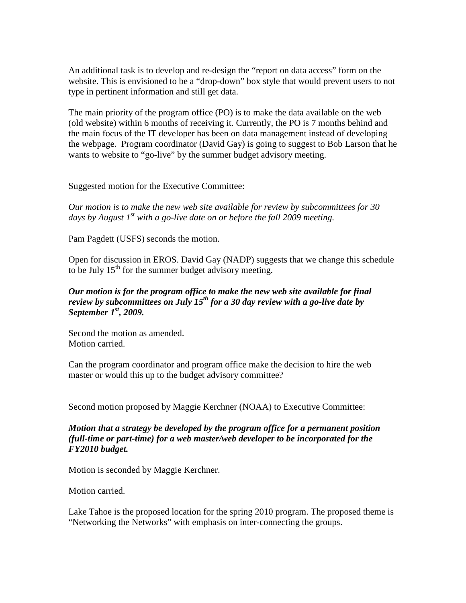An additional task is to develop and re-design the "report on data access" form on the website. This is envisioned to be a "drop-down" box style that would prevent users to not type in pertinent information and still get data.

The main priority of the program office (PO) is to make the data available on the web (old website) within 6 months of receiving it. Currently, the PO is 7 months behind and the main focus of the IT developer has been on data management instead of developing the webpage. Program coordinator (David Gay) is going to suggest to Bob Larson that he wants to website to "go-live" by the summer budget advisory meeting.

Suggested motion for the Executive Committee:

*Our motion is to make the new web site available for review by subcommittees for 30 days by August 1st with a go-live date on or before the fall 2009 meeting.*

Pam Pagdett (USFS) seconds the motion.

Open for discussion in EROS. David Gay (NADP) suggests that we change this schedule to be July  $15<sup>th</sup>$  for the summer budget advisory meeting.

## *Our motion is for the program office to make the new web site available for final review by subcommittees on July 15th for a 30 day review with a go-live date by September 1st, 2009.*

Second the motion as amended. Motion carried.

Can the program coordinator and program office make the decision to hire the web master or would this up to the budget advisory committee?

Second motion proposed by Maggie Kerchner (NOAA) to Executive Committee:

*Motion that a strategy be developed by the program office for a permanent position (full-time or part-time) for a web master/web developer to be incorporated for the FY2010 budget.*

Motion is seconded by Maggie Kerchner.

Motion carried.

Lake Tahoe is the proposed location for the spring 2010 program. The proposed theme is "Networking the Networks" with emphasis on inter-connecting the groups.